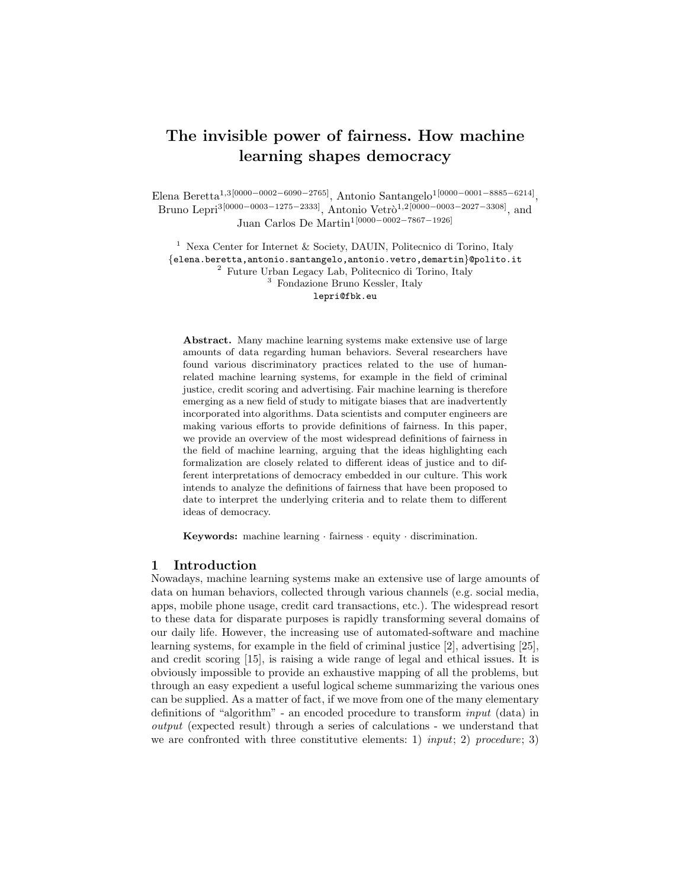# The invisible power of fairness. How machine learning shapes democracy

Elena Beretta<sup>1,3[0000−0002−6090−2765]</sup>, Antonio Santangelo<sup>1</sup><sup>[0000−0001−8885−6214]</sup>, Bruno Lepri<sup>3</sup>[0000–0003–1275–2333], Antonio Vetrò<sup>1,2</sup>[0000–0003–2027–3308], and Juan Carlos De Martin1[0000−0002−7867−1926]

<sup>1</sup> Nexa Center for Internet & Society, DAUIN, Politecnico di Torino, Italy {elena.beretta,antonio.santangelo,antonio.vetro,demartin}@polito.it <sup>2</sup> Future Urban Legacy Lab, Politecnico di Torino, Italy <sup>3</sup> Fondazione Bruno Kessler, Italy lepri@fbk.eu

Abstract. Many machine learning systems make extensive use of large amounts of data regarding human behaviors. Several researchers have found various discriminatory practices related to the use of humanrelated machine learning systems, for example in the field of criminal justice, credit scoring and advertising. Fair machine learning is therefore emerging as a new field of study to mitigate biases that are inadvertently incorporated into algorithms. Data scientists and computer engineers are making various efforts to provide definitions of fairness. In this paper, we provide an overview of the most widespread definitions of fairness in the field of machine learning, arguing that the ideas highlighting each formalization are closely related to different ideas of justice and to different interpretations of democracy embedded in our culture. This work intends to analyze the definitions of fairness that have been proposed to date to interpret the underlying criteria and to relate them to different ideas of democracy.

Keywords: machine learning · fairness · equity · discrimination.

## 1 Introduction

Nowadays, machine learning systems make an extensive use of large amounts of data on human behaviors, collected through various channels (e.g. social media, apps, mobile phone usage, credit card transactions, etc.). The widespread resort to these data for disparate purposes is rapidly transforming several domains of our daily life. However, the increasing use of automated-software and machine learning systems, for example in the field of criminal justice [2], advertising [25], and credit scoring [15], is raising a wide range of legal and ethical issues. It is obviously impossible to provide an exhaustive mapping of all the problems, but through an easy expedient a useful logical scheme summarizing the various ones can be supplied. As a matter of fact, if we move from one of the many elementary definitions of "algorithm" - an encoded procedure to transform input (data) in output (expected result) through a series of calculations - we understand that we are confronted with three constitutive elements: 1) input; 2) procedure; 3)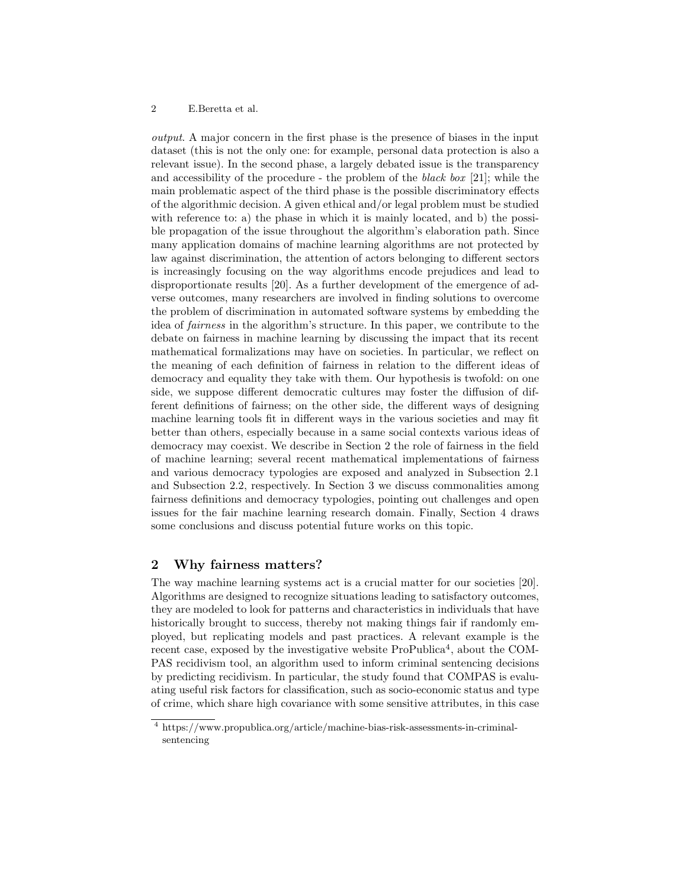output. A major concern in the first phase is the presence of biases in the input dataset (this is not the only one: for example, personal data protection is also a relevant issue). In the second phase, a largely debated issue is the transparency and accessibility of the procedure - the problem of the *black box* [21]; while the main problematic aspect of the third phase is the possible discriminatory effects of the algorithmic decision. A given ethical and/or legal problem must be studied with reference to: a) the phase in which it is mainly located, and b) the possible propagation of the issue throughout the algorithm's elaboration path. Since many application domains of machine learning algorithms are not protected by law against discrimination, the attention of actors belonging to different sectors is increasingly focusing on the way algorithms encode prejudices and lead to disproportionate results [20]. As a further development of the emergence of adverse outcomes, many researchers are involved in finding solutions to overcome the problem of discrimination in automated software systems by embedding the idea of fairness in the algorithm's structure. In this paper, we contribute to the debate on fairness in machine learning by discussing the impact that its recent mathematical formalizations may have on societies. In particular, we reflect on the meaning of each definition of fairness in relation to the different ideas of democracy and equality they take with them. Our hypothesis is twofold: on one side, we suppose different democratic cultures may foster the diffusion of different definitions of fairness; on the other side, the different ways of designing machine learning tools fit in different ways in the various societies and may fit better than others, especially because in a same social contexts various ideas of democracy may coexist. We describe in Section 2 the role of fairness in the field of machine learning; several recent mathematical implementations of fairness and various democracy typologies are exposed and analyzed in Subsection 2.1 and Subsection 2.2, respectively. In Section 3 we discuss commonalities among fairness definitions and democracy typologies, pointing out challenges and open issues for the fair machine learning research domain. Finally, Section 4 draws some conclusions and discuss potential future works on this topic.

## 2 Why fairness matters?

The way machine learning systems act is a crucial matter for our societies [20]. Algorithms are designed to recognize situations leading to satisfactory outcomes, they are modeled to look for patterns and characteristics in individuals that have historically brought to success, thereby not making things fair if randomly employed, but replicating models and past practices. A relevant example is the recent case, exposed by the investigative website  $ProPublica<sup>4</sup>$ , about the COM-PAS recidivism tool, an algorithm used to inform criminal sentencing decisions by predicting recidivism. In particular, the study found that COMPAS is evaluating useful risk factors for classification, such as socio-economic status and type of crime, which share high covariance with some sensitive attributes, in this case

<sup>4</sup> https://www.propublica.org/article/machine-bias-risk-assessments-in-criminalsentencing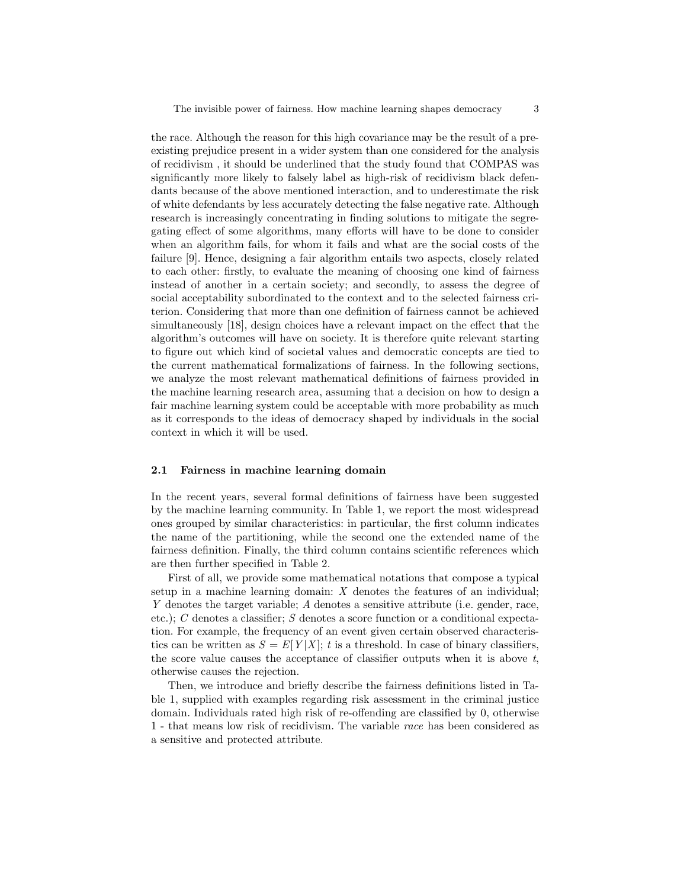the race. Although the reason for this high covariance may be the result of a preexisting prejudice present in a wider system than one considered for the analysis of recidivism , it should be underlined that the study found that COMPAS was significantly more likely to falsely label as high-risk of recidivism black defendants because of the above mentioned interaction, and to underestimate the risk of white defendants by less accurately detecting the false negative rate. Although research is increasingly concentrating in finding solutions to mitigate the segregating effect of some algorithms, many efforts will have to be done to consider when an algorithm fails, for whom it fails and what are the social costs of the failure [9]. Hence, designing a fair algorithm entails two aspects, closely related to each other: firstly, to evaluate the meaning of choosing one kind of fairness instead of another in a certain society; and secondly, to assess the degree of social acceptability subordinated to the context and to the selected fairness criterion. Considering that more than one definition of fairness cannot be achieved simultaneously [18], design choices have a relevant impact on the effect that the algorithm's outcomes will have on society. It is therefore quite relevant starting to figure out which kind of societal values and democratic concepts are tied to the current mathematical formalizations of fairness. In the following sections, we analyze the most relevant mathematical definitions of fairness provided in the machine learning research area, assuming that a decision on how to design a fair machine learning system could be acceptable with more probability as much as it corresponds to the ideas of democracy shaped by individuals in the social context in which it will be used.

## 2.1 Fairness in machine learning domain

In the recent years, several formal definitions of fairness have been suggested by the machine learning community. In Table 1, we report the most widespread ones grouped by similar characteristics: in particular, the first column indicates the name of the partitioning, while the second one the extended name of the fairness definition. Finally, the third column contains scientific references which are then further specified in Table 2.

First of all, we provide some mathematical notations that compose a typical setup in a machine learning domain:  $X$  denotes the features of an individual; Y denotes the target variable; A denotes a sensitive attribute (i.e. gender, race, etc.); C denotes a classifier; S denotes a score function or a conditional expectation. For example, the frequency of an event given certain observed characteristics can be written as  $S = E[Y|X]$ ; t is a threshold. In case of binary classifiers, the score value causes the acceptance of classifier outputs when it is above  $t$ , otherwise causes the rejection.

Then, we introduce and briefly describe the fairness definitions listed in Table 1, supplied with examples regarding risk assessment in the criminal justice domain. Individuals rated high risk of re-offending are classified by 0, otherwise 1 - that means low risk of recidivism. The variable race has been considered as a sensitive and protected attribute.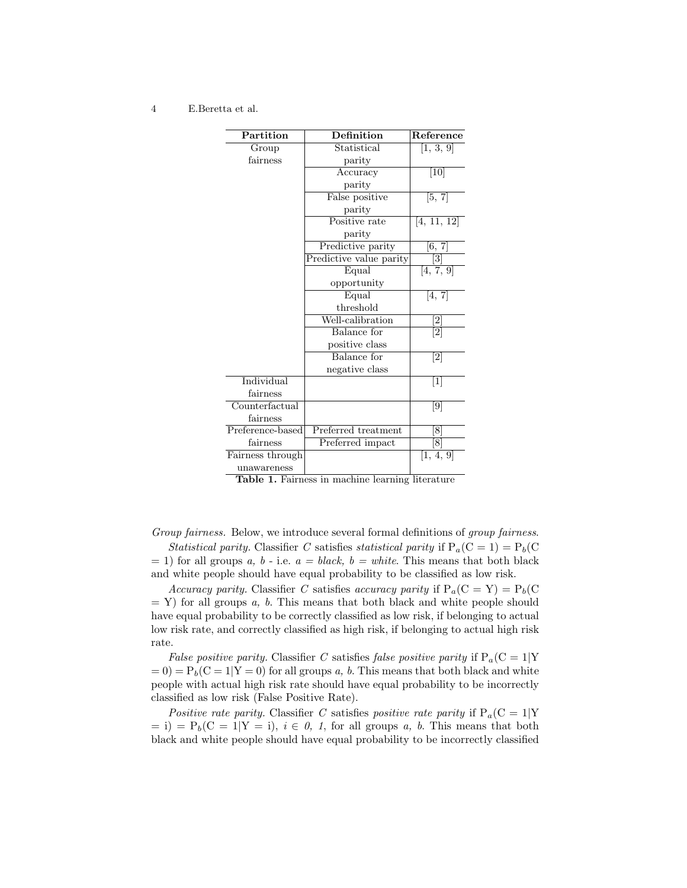| Partition                   | <b>Definition</b>       | Reference                |
|-----------------------------|-------------------------|--------------------------|
| $\overline{\mathrm{Group}}$ | Statistical             | [1, 3, 9]                |
| fairness                    | parity                  |                          |
|                             | Accuracy                | $\overline{10}$          |
|                             | parity                  |                          |
|                             | False positive          | [5, 7]                   |
|                             | parity                  |                          |
|                             | Positive rate           | $\overline{[4, 11, 12]}$ |
|                             | parity                  |                          |
|                             | Predictive parity       | [6, 7]                   |
|                             | Predictive value parity | $\lceil 3 \rceil$        |
|                             | Equal                   | $\overline{[4, 7, 9]}$   |
|                             | opportunity             |                          |
|                             | Equal                   | [4, 7]                   |
|                             | threshold               |                          |
|                             | Well-calibration        | $\left[ 2\right]$        |
|                             | Balance for             | $\overline{[2]}$         |
|                             | positive class          |                          |
|                             | Balance for             | $\overline{[2]}$         |
|                             | negative class          |                          |
| Individual                  |                         | $[1]$                    |
| fairness                    |                         |                          |
| Counterfactual              |                         | $\overline{[9]}$         |
| fairness                    |                         |                          |
| Preference-based            | Preferred treatment     | [8]                      |
| fairness                    | Preferred impact        | 8                        |
| Fairness through            |                         | Ι,<br>4, 9               |
| unawareness                 |                         |                          |

Table 1. Fairness in machine learning literature

Group fairness. Below, we introduce several formal definitions of group fairness.

Statistical parity. Classifier C satisfies statistical parity if  $P_a(C = 1) = P_b(C)$  $= 1$ ) for all groups a, b - i.e.  $a = black, b = white$ . This means that both black and white people should have equal probability to be classified as low risk.

Accuracy parity. Classifier C satisfies accuracy parity if  $P_a(C = Y) = P_b(C)$  $= Y$ ) for all groups a, b. This means that both black and white people should have equal probability to be correctly classified as low risk, if belonging to actual low risk rate, and correctly classified as high risk, if belonging to actual high risk rate.

False positive parity. Classifier C satisfies false positive parity if  $P_a(C = 1|Y)$  $= 0$ ) = P<sub>b</sub>(C = 1|Y = 0) for all groups a, b. This means that both black and white people with actual high risk rate should have equal probability to be incorrectly classified as low risk (False Positive Rate).

Positive rate parity. Classifier C satisfies positive rate parity if  $P_a(C = 1|Y)$  $= i$ ) = P<sub>b</sub>(C = 1|Y = i),  $i \in \emptyset$ , 1, for all groups a, b. This means that both black and white people should have equal probability to be incorrectly classified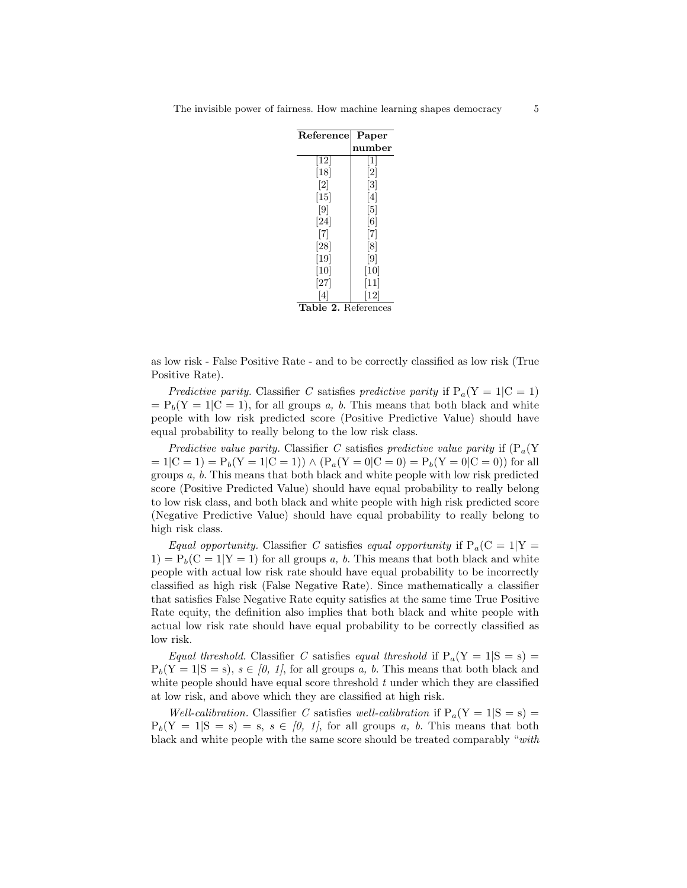| Reference                                   | Paper                                                                                                                                                                                 |  |
|---------------------------------------------|---------------------------------------------------------------------------------------------------------------------------------------------------------------------------------------|--|
|                                             | number                                                                                                                                                                                |  |
| [12]                                        | $\vert 1 \vert$                                                                                                                                                                       |  |
| $\left\lvert 18 \right\rvert$               | 2                                                                                                                                                                                     |  |
| 2                                           | $[3] % \includegraphics[width=0.9\columnwidth]{figures/fig_1a} \caption{Schematic diagram of the top of the top of the top of the top of the top of the right.} \label{fig:1} %$      |  |
| 15                                          | $[4] % \includegraphics[width=1\textwidth]{images/TrDiM-Architecture.png} \caption{The figure shows the results of the estimators in the left hand side.} \label{TrDiM-Architecture}$ |  |
| $\left[ 9 \right]$                          | [5]                                                                                                                                                                                   |  |
| [24]                                        | [6]                                                                                                                                                                                   |  |
| [7]                                         | $\left\lceil 7 \right\rceil$                                                                                                                                                          |  |
| [28]                                        | [8]                                                                                                                                                                                   |  |
| $\left[19\right]$                           | [9]                                                                                                                                                                                   |  |
| $\left[10\right]$                           | 10                                                                                                                                                                                    |  |
| [27]                                        | 11                                                                                                                                                                                    |  |
| 4                                           | 12                                                                                                                                                                                    |  |
| References<br>$\boldsymbol{2}$<br>ble<br>Ľа |                                                                                                                                                                                       |  |

as low risk - False Positive Rate - and to be correctly classified as low risk (True Positive Rate).

Predictive parity. Classifier C satisfies predictive parity if  $P_a(Y = 1|C = 1)$  $= P_b(Y = 1|C = 1)$ , for all groups a, b. This means that both black and white people with low risk predicted score (Positive Predictive Value) should have equal probability to really belong to the low risk class.

Predictive value parity. Classifier C satisfies predictive value parity if  $(P_a(Y))$  $= 1|C = 1) = P_b(Y = 1|C = 1)$   $\wedge (P_a(Y = 0|C = 0) = P_b(Y = 0|C = 0))$  for all groups a, b. This means that both black and white people with low risk predicted score (Positive Predicted Value) should have equal probability to really belong to low risk class, and both black and white people with high risk predicted score (Negative Predictive Value) should have equal probability to really belong to high risk class.

Equal opportunity. Classifier C satisfies equal opportunity if  $P_a(C = 1|Y =$  $1) = P_b(C = 1|Y = 1)$  for all groups a, b. This means that both black and white people with actual low risk rate should have equal probability to be incorrectly classified as high risk (False Negative Rate). Since mathematically a classifier that satisfies False Negative Rate equity satisfies at the same time True Positive Rate equity, the definition also implies that both black and white people with actual low risk rate should have equal probability to be correctly classified as low risk.

Equal threshold. Classifier C satisfies equal threshold if  $P_a(Y = 1|S = s)$  $P_b(Y = 1|S = s), s \in [0, 1]$ , for all groups a, b. This means that both black and white people should have equal score threshold  $t$  under which they are classified at low risk, and above which they are classified at high risk.

Well-calibration. Classifier C satisfies well-calibration if  $P_a(Y = 1|S = s)$  $P_b(Y = 1|S = s) = s, s \in [0, 1],$  for all groups a, b. This means that both black and white people with the same score should be treated comparably "with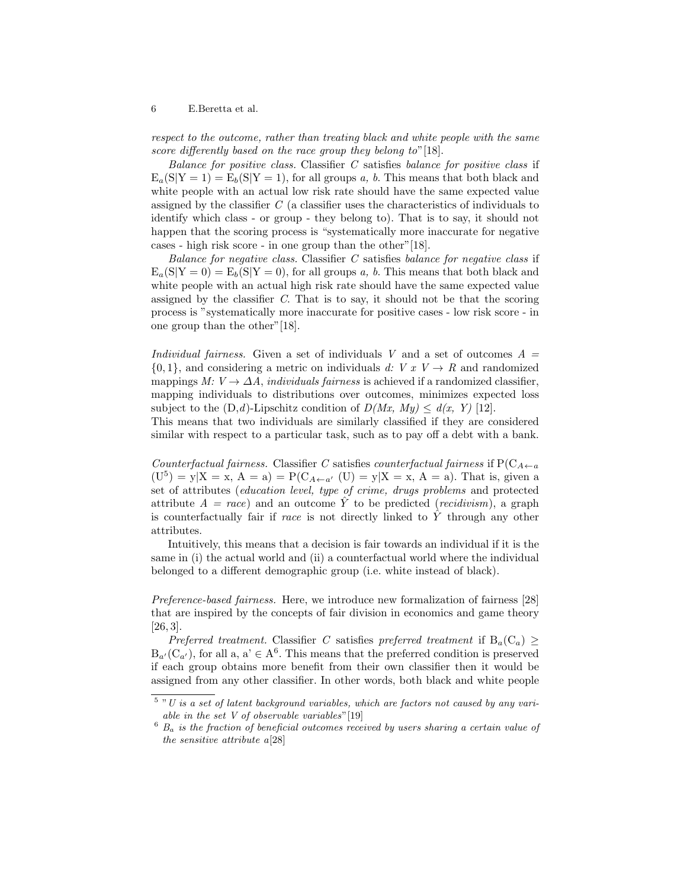respect to the outcome, rather than treating black and white people with the same score differently based on the race group they belong to"[18].

Balance for positive class. Classifier C satisfies balance for positive class if  $E_a(S|Y = 1) = E_b(S|Y = 1)$ , for all groups a, b. This means that both black and white people with an actual low risk rate should have the same expected value assigned by the classifier C (a classifier uses the characteristics of individuals to identify which class - or group - they belong to). That is to say, it should not happen that the scoring process is "systematically more inaccurate for negative cases - high risk score - in one group than the other"[18].

Balance for negative class. Classifier  $C$  satisfies balance for negative class if  $E_a(S|Y=0) = E_b(S|Y=0)$ , for all groups a, b. This means that both black and white people with an actual high risk rate should have the same expected value assigned by the classifier  $C$ . That is to say, it should not be that the scoring process is "systematically more inaccurate for positive cases - low risk score - in one group than the other"[18].

Individual fairness. Given a set of individuals V and a set of outcomes  $A =$  $\{0, 1\}$ , and considering a metric on individuals d:  $V x V \rightarrow R$  and randomized mappings  $M: V \to \Delta A$ , *individuals fairness* is achieved if a randomized classifier, mapping individuals to distributions over outcomes, minimizes expected loss subject to the  $(D,d)$ -Lipschitz condition of  $D(Mx, My) \leq d(x, Y)$  [12].

This means that two individuals are similarly classified if they are considered similar with respect to a particular task, such as to pay off a debt with a bank.

Counterfactual fairness. Classifier C satisfies counterfactual fairness if  $P(C_{A \leftarrow a})$  $(U^5) = y|X = x, A = a$  =  $P(C_{A \leftarrow a'} (U) = y|X = x, A = a)$ . That is, given a set of attributes (education level, type of crime, drugs problems and protected attribute  $A = race$ ) and an outcome  $\hat{Y}$  to be predicted (recidivism), a graph is counterfactually fair if race is not directly linked to  $\hat{Y}$  through any other attributes.

Intuitively, this means that a decision is fair towards an individual if it is the same in (i) the actual world and (ii) a counterfactual world where the individual belonged to a different demographic group (i.e. white instead of black).

Preference-based fairness. Here, we introduce new formalization of fairness [28] that are inspired by the concepts of fair division in economics and game theory [26, 3].

Preferred treatment. Classifier C satisfies preferred treatment if  $B_a(C_a) \geq$  $B_{a'}(C_{a'})$ , for all a,  $a' \in A^6$ . This means that the preferred condition is preserved if each group obtains more benefit from their own classifier then it would be assigned from any other classifier. In other words, both black and white people

 $5 "U is a set of latent background variables, which are factors not caused by any vari$ able in the set V of observable variables"[19]

 $6$   $B_a$  is the fraction of beneficial outcomes received by users sharing a certain value of the sensitive attribute a[28]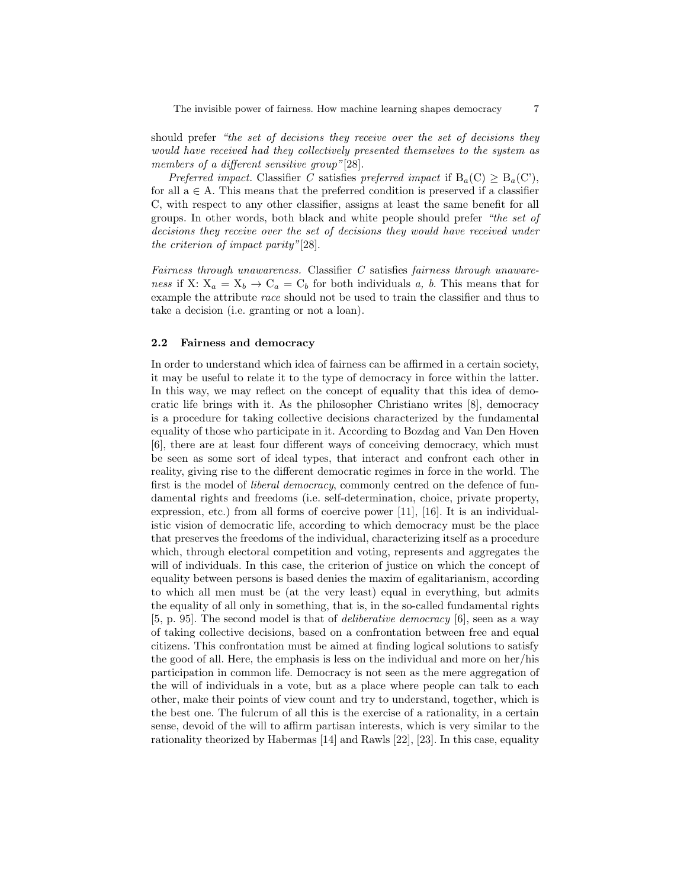should prefer "the set of decisions they receive over the set of decisions they would have received had they collectively presented themselves to the system as members of a different sensitive group"[28].

Preferred impact. Classifier C satisfies preferred impact if  $B_a(C) \geq B_a(C)$ , for all  $a \in A$ . This means that the preferred condition is preserved if a classifier C, with respect to any other classifier, assigns at least the same benefit for all groups. In other words, both black and white people should prefer "the set of decisions they receive over the set of decisions they would have received under the criterion of impact parity"[28].

Fairness through unawareness. Classifier C satisfies fairness through unawareness if X:  $X_a = X_b \rightarrow C_a = C_b$  for both individuals a, b. This means that for example the attribute race should not be used to train the classifier and thus to take a decision (i.e. granting or not a loan).

#### 2.2 Fairness and democracy

In order to understand which idea of fairness can be affirmed in a certain society, it may be useful to relate it to the type of democracy in force within the latter. In this way, we may reflect on the concept of equality that this idea of democratic life brings with it. As the philosopher Christiano writes [8], democracy is a procedure for taking collective decisions characterized by the fundamental equality of those who participate in it. According to Bozdag and Van Den Hoven [6], there are at least four different ways of conceiving democracy, which must be seen as some sort of ideal types, that interact and confront each other in reality, giving rise to the different democratic regimes in force in the world. The first is the model of *liberal democracy*, commonly centred on the defence of fundamental rights and freedoms (i.e. self-determination, choice, private property, expression, etc.) from all forms of coercive power [11], [16]. It is an individualistic vision of democratic life, according to which democracy must be the place that preserves the freedoms of the individual, characterizing itself as a procedure which, through electoral competition and voting, represents and aggregates the will of individuals. In this case, the criterion of justice on which the concept of equality between persons is based denies the maxim of egalitarianism, according to which all men must be (at the very least) equal in everything, but admits the equality of all only in something, that is, in the so-called fundamental rights [5, p. 95]. The second model is that of *deliberative democracy* [6], seen as a way of taking collective decisions, based on a confrontation between free and equal citizens. This confrontation must be aimed at finding logical solutions to satisfy the good of all. Here, the emphasis is less on the individual and more on her/his participation in common life. Democracy is not seen as the mere aggregation of the will of individuals in a vote, but as a place where people can talk to each other, make their points of view count and try to understand, together, which is the best one. The fulcrum of all this is the exercise of a rationality, in a certain sense, devoid of the will to affirm partisan interests, which is very similar to the rationality theorized by Habermas [14] and Rawls [22], [23]. In this case, equality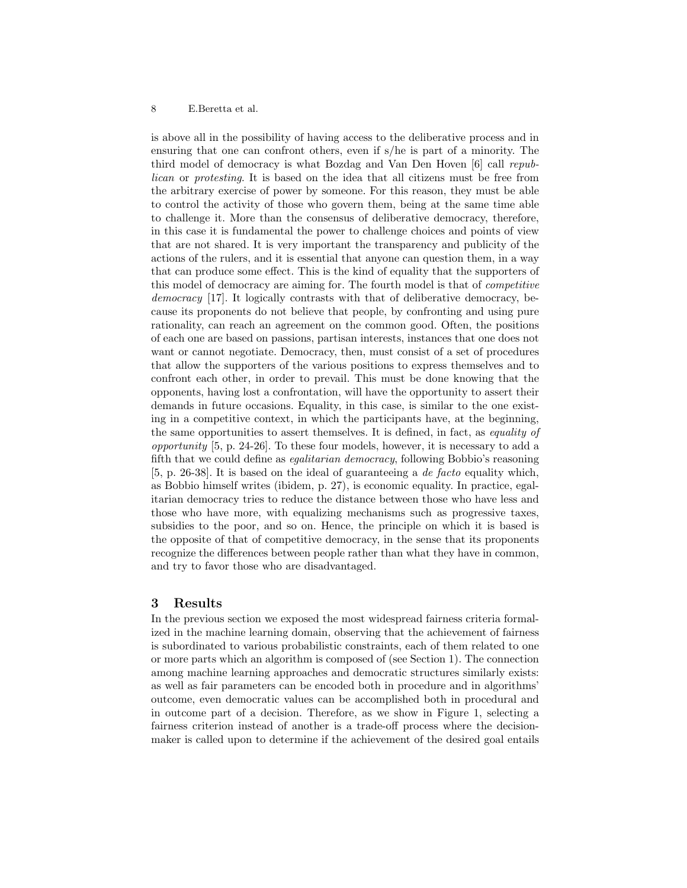is above all in the possibility of having access to the deliberative process and in ensuring that one can confront others, even if s/he is part of a minority. The third model of democracy is what Bozdag and Van Den Hoven [6] call republican or protesting. It is based on the idea that all citizens must be free from the arbitrary exercise of power by someone. For this reason, they must be able to control the activity of those who govern them, being at the same time able to challenge it. More than the consensus of deliberative democracy, therefore, in this case it is fundamental the power to challenge choices and points of view that are not shared. It is very important the transparency and publicity of the actions of the rulers, and it is essential that anyone can question them, in a way that can produce some effect. This is the kind of equality that the supporters of this model of democracy are aiming for. The fourth model is that of competitive democracy [17]. It logically contrasts with that of deliberative democracy, because its proponents do not believe that people, by confronting and using pure rationality, can reach an agreement on the common good. Often, the positions of each one are based on passions, partisan interests, instances that one does not want or cannot negotiate. Democracy, then, must consist of a set of procedures that allow the supporters of the various positions to express themselves and to confront each other, in order to prevail. This must be done knowing that the opponents, having lost a confrontation, will have the opportunity to assert their demands in future occasions. Equality, in this case, is similar to the one existing in a competitive context, in which the participants have, at the beginning, the same opportunities to assert themselves. It is defined, in fact, as equality of opportunity [5, p. 24-26]. To these four models, however, it is necessary to add a fifth that we could define as egalitarian democracy, following Bobbio's reasoning [5, p. 26-38]. It is based on the ideal of guaranteeing a de facto equality which, as Bobbio himself writes (ibidem, p. 27), is economic equality. In practice, egalitarian democracy tries to reduce the distance between those who have less and those who have more, with equalizing mechanisms such as progressive taxes, subsidies to the poor, and so on. Hence, the principle on which it is based is the opposite of that of competitive democracy, in the sense that its proponents recognize the differences between people rather than what they have in common, and try to favor those who are disadvantaged.

## 3 Results

In the previous section we exposed the most widespread fairness criteria formalized in the machine learning domain, observing that the achievement of fairness is subordinated to various probabilistic constraints, each of them related to one or more parts which an algorithm is composed of (see Section 1). The connection among machine learning approaches and democratic structures similarly exists: as well as fair parameters can be encoded both in procedure and in algorithms' outcome, even democratic values can be accomplished both in procedural and in outcome part of a decision. Therefore, as we show in Figure 1, selecting a fairness criterion instead of another is a trade-off process where the decisionmaker is called upon to determine if the achievement of the desired goal entails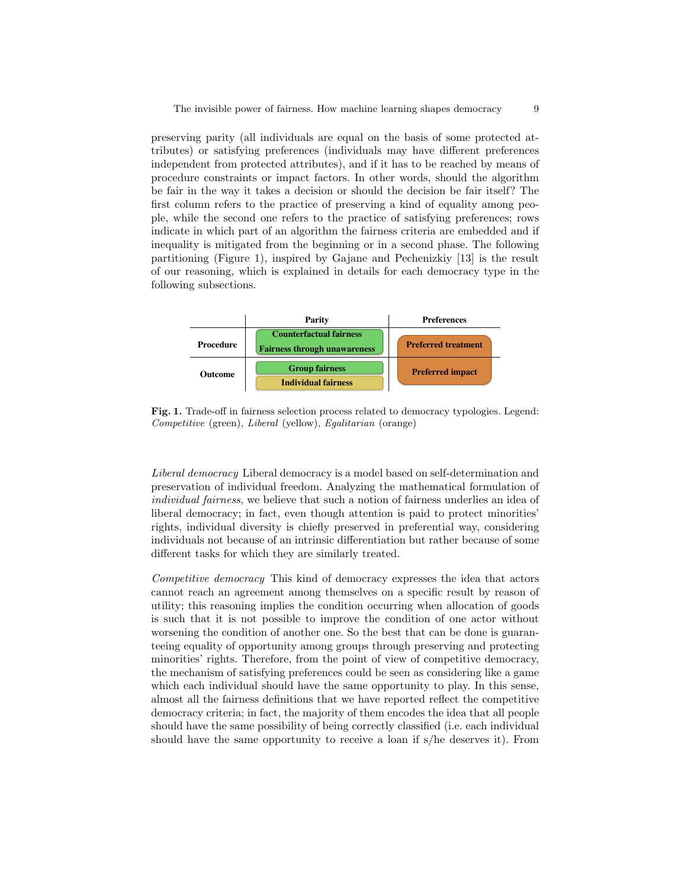preserving parity (all individuals are equal on the basis of some protected attributes) or satisfying preferences (individuals may have different preferences independent from protected attributes), and if it has to be reached by means of procedure constraints or impact factors. In other words, should the algorithm be fair in the way it takes a decision or should the decision be fair itself? The first column refers to the practice of preserving a kind of equality among people, while the second one refers to the practice of satisfying preferences; rows indicate in which part of an algorithm the fairness criteria are embedded and if inequality is mitigated from the beginning or in a second phase. The following partitioning (Figure 1), inspired by Gajane and Pechenizkiy [13] is the result of our reasoning, which is explained in details for each democracy type in the following subsections.



Fig. 1. Trade-off in fairness selection process related to democracy typologies. Legend: Competitive (green), Liberal (yellow), Egalitarian (orange)

Liberal democracy Liberal democracy is a model based on self-determination and preservation of individual freedom. Analyzing the mathematical formulation of individual fairness, we believe that such a notion of fairness underlies an idea of liberal democracy; in fact, even though attention is paid to protect minorities' rights, individual diversity is chiefly preserved in preferential way, considering individuals not because of an intrinsic differentiation but rather because of some different tasks for which they are similarly treated.

Competitive democracy This kind of democracy expresses the idea that actors cannot reach an agreement among themselves on a specific result by reason of utility; this reasoning implies the condition occurring when allocation of goods is such that it is not possible to improve the condition of one actor without worsening the condition of another one. So the best that can be done is guaranteeing equality of opportunity among groups through preserving and protecting minorities' rights. Therefore, from the point of view of competitive democracy, the mechanism of satisfying preferences could be seen as considering like a game which each individual should have the same opportunity to play. In this sense, almost all the fairness definitions that we have reported reflect the competitive democracy criteria; in fact, the majority of them encodes the idea that all people should have the same possibility of being correctly classified (i.e. each individual should have the same opportunity to receive a loan if s/he deserves it). From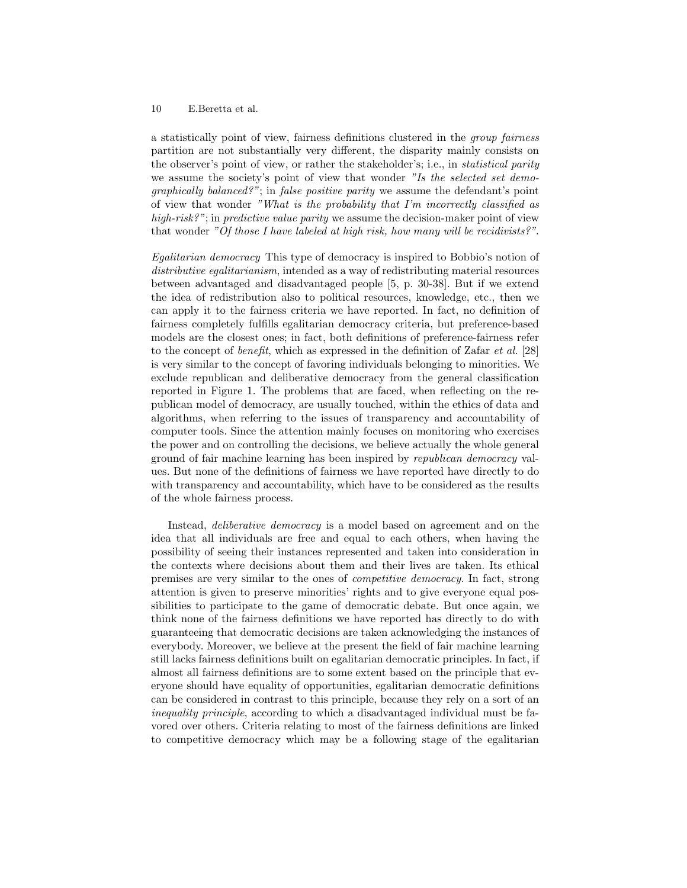a statistically point of view, fairness definitions clustered in the group fairness partition are not substantially very different, the disparity mainly consists on the observer's point of view, or rather the stakeholder's; i.e., in *statistical parity* we assume the society's point of view that wonder "Is the selected set demographically balanced?"; in false positive parity we assume the defendant's point of view that wonder "What is the probability that I'm incorrectly classified as high-risk?"; in predictive value parity we assume the decision-maker point of view that wonder "Of those I have labeled at high risk, how many will be recidivists?".

Egalitarian democracy This type of democracy is inspired to Bobbio's notion of distributive egalitarianism, intended as a way of redistributing material resources between advantaged and disadvantaged people [5, p. 30-38]. But if we extend the idea of redistribution also to political resources, knowledge, etc., then we can apply it to the fairness criteria we have reported. In fact, no definition of fairness completely fulfills egalitarian democracy criteria, but preference-based models are the closest ones; in fact, both definitions of preference-fairness refer to the concept of benefit, which as expressed in the definition of Zafar et al. [28] is very similar to the concept of favoring individuals belonging to minorities. We exclude republican and deliberative democracy from the general classification reported in Figure 1. The problems that are faced, when reflecting on the republican model of democracy, are usually touched, within the ethics of data and algorithms, when referring to the issues of transparency and accountability of computer tools. Since the attention mainly focuses on monitoring who exercises the power and on controlling the decisions, we believe actually the whole general ground of fair machine learning has been inspired by republican democracy values. But none of the definitions of fairness we have reported have directly to do with transparency and accountability, which have to be considered as the results of the whole fairness process.

Instead, deliberative democracy is a model based on agreement and on the idea that all individuals are free and equal to each others, when having the possibility of seeing their instances represented and taken into consideration in the contexts where decisions about them and their lives are taken. Its ethical premises are very similar to the ones of competitive democracy. In fact, strong attention is given to preserve minorities' rights and to give everyone equal possibilities to participate to the game of democratic debate. But once again, we think none of the fairness definitions we have reported has directly to do with guaranteeing that democratic decisions are taken acknowledging the instances of everybody. Moreover, we believe at the present the field of fair machine learning still lacks fairness definitions built on egalitarian democratic principles. In fact, if almost all fairness definitions are to some extent based on the principle that everyone should have equality of opportunities, egalitarian democratic definitions can be considered in contrast to this principle, because they rely on a sort of an inequality principle, according to which a disadvantaged individual must be favored over others. Criteria relating to most of the fairness definitions are linked to competitive democracy which may be a following stage of the egalitarian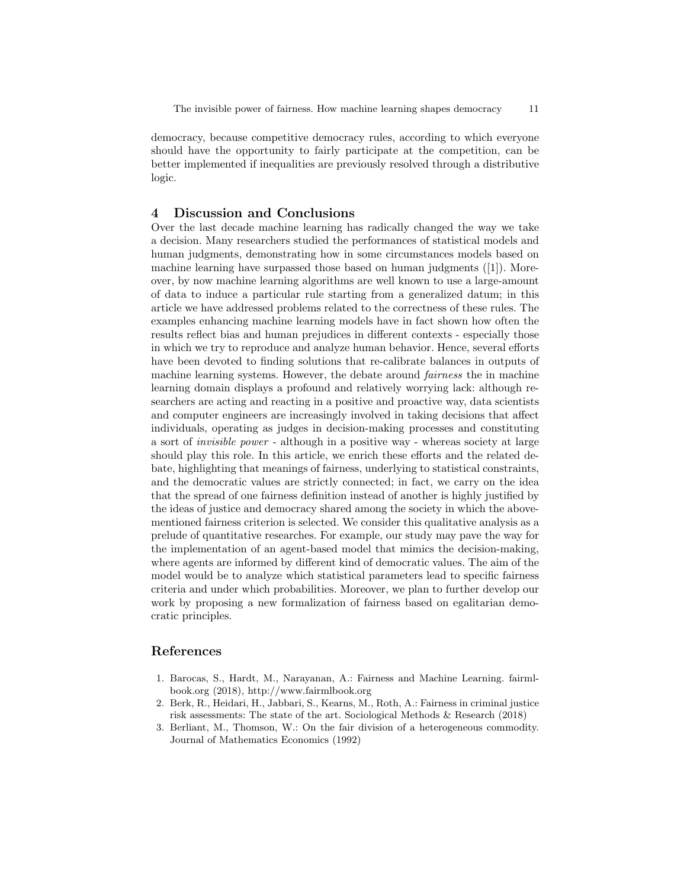democracy, because competitive democracy rules, according to which everyone should have the opportunity to fairly participate at the competition, can be better implemented if inequalities are previously resolved through a distributive logic.

# 4 Discussion and Conclusions

Over the last decade machine learning has radically changed the way we take a decision. Many researchers studied the performances of statistical models and human judgments, demonstrating how in some circumstances models based on machine learning have surpassed those based on human judgments ([1]). Moreover, by now machine learning algorithms are well known to use a large-amount of data to induce a particular rule starting from a generalized datum; in this article we have addressed problems related to the correctness of these rules. The examples enhancing machine learning models have in fact shown how often the results reflect bias and human prejudices in different contexts - especially those in which we try to reproduce and analyze human behavior. Hence, several efforts have been devoted to finding solutions that re-calibrate balances in outputs of machine learning systems. However, the debate around *fairness* the in machine learning domain displays a profound and relatively worrying lack: although researchers are acting and reacting in a positive and proactive way, data scientists and computer engineers are increasingly involved in taking decisions that affect individuals, operating as judges in decision-making processes and constituting a sort of invisible power - although in a positive way - whereas society at large should play this role. In this article, we enrich these efforts and the related debate, highlighting that meanings of fairness, underlying to statistical constraints, and the democratic values are strictly connected; in fact, we carry on the idea that the spread of one fairness definition instead of another is highly justified by the ideas of justice and democracy shared among the society in which the abovementioned fairness criterion is selected. We consider this qualitative analysis as a prelude of quantitative researches. For example, our study may pave the way for the implementation of an agent-based model that mimics the decision-making, where agents are informed by different kind of democratic values. The aim of the model would be to analyze which statistical parameters lead to specific fairness criteria and under which probabilities. Moreover, we plan to further develop our work by proposing a new formalization of fairness based on egalitarian democratic principles.

## References

- 1. Barocas, S., Hardt, M., Narayanan, A.: Fairness and Machine Learning. fairmlbook.org (2018), http://www.fairmlbook.org
- 2. Berk, R., Heidari, H., Jabbari, S., Kearns, M., Roth, A.: Fairness in criminal justice risk assessments: The state of the art. Sociological Methods & Research (2018)
- 3. Berliant, M., Thomson, W.: On the fair division of a heterogeneous commodity. Journal of Mathematics Economics (1992)